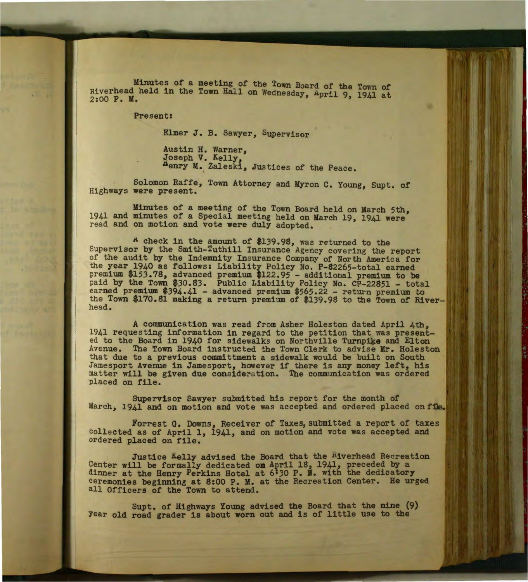Minutes of a meeting of the Town Board of the Town of Riverhead held in the Town Hall on Wednesday, april 9, 1941 at 2:00 P. M.

Present:

Elmer J. B. Sawyer, Supervisor

Austin H. Warner, Joseph V. Kelly, ~enry M. Zaleski, Justices of the Peace.

Solomon Raffe, Town Attorney and Myron c. Young, Supt. of Highways were present.

Minutes of a meeting of the Town Board held on March 5th, 1941 and minutes of a Special meeting held on March 19, 1941 were' read and on motion and vote were duly adopted.

A check in the amount of \$139.98, was returned to the Supervisor by the Smith-Tuthill Insurance Agency covering the report of the audit by the Indemnity Insurance Company of North America for the year 1940 as follows: Liability Policy No. P-82265-total earned premium \$153.78, advanced premium \$122.95 - additional premium to be paid by the Town \$30.83. Public Liability Policy No. CP-22851 - total earned premium \$394.41 - advanced premium \$565.22 - return premium to the Town \$170.81 making a return premium of \$139.98 to the Town of Riverhead.

A communication was read from Asher Holeston dated April 4th, 1941 requesting information in regard to the petition that was present-<br>ed to the Board in 1940 for sidewalks on Northville Turnpike and Elton Avenue. The Town Board instructed the Town Clerk to advise Mr. Holeston that due to a previous committment a sidewalk would be built on South Jamesport Avenue in Jamesport, however if there is any money left, his matter will be given due consideration. The communication was ordered placed on file.

Supervisor Sawyer submitted his report for the month of March, 1941 and on motion and vote was accepted and ordered placed on file.

Forrest G. Downs, Receiver of Taxes, submitted a report of taxes collected as of April 1, 1941, and on motion and vote was accepted and ordered placed on file.

Justice Kelly advised the Board that the Riverhead Recreation Center will be formally dedicated on April 18, 1941, preceded by a dinner at the Henry Perkins Hotel at 6'30 P. M. with the dedicatory ceremonies beginning at 8:00 P. M. at the Recreation Center. He urged all Officers of the Town to attend.

Supt. of Highways Young advised the Board that the nine (9) Year old road grader is about worn out and is of little use to the